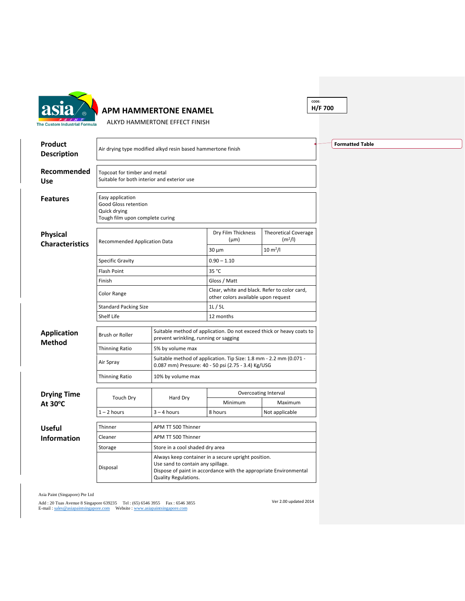

## **APM HAMMERTONE ENAMEL**

**CODE: H/F 700**

ALKYD HAMMERTONE EFFECT FINISH

| Product                                   |                                                                                             |                                                                                                                | <b>Formatted Table</b>                                                                                                    |                                                    |  |  |  |  |
|-------------------------------------------|---------------------------------------------------------------------------------------------|----------------------------------------------------------------------------------------------------------------|---------------------------------------------------------------------------------------------------------------------------|----------------------------------------------------|--|--|--|--|
| <b>Description</b>                        | Air drying type modified alkyd resin based hammertone finish                                |                                                                                                                |                                                                                                                           |                                                    |  |  |  |  |
| Recommended<br><b>Use</b>                 | Topcoat for timber and metal                                                                | Suitable for both interior and exterior use                                                                    |                                                                                                                           |                                                    |  |  |  |  |
| <b>Features</b>                           | Easy application<br>Good Gloss retention<br>Quick drying<br>Tough film upon complete curing |                                                                                                                |                                                                                                                           |                                                    |  |  |  |  |
| <b>Physical</b><br><b>Characteristics</b> | Recommended Application Data                                                                |                                                                                                                | Dry Film Thickness<br>$(\mu m)$                                                                                           | <b>Theoretical Coverage</b><br>(m <sup>2</sup> /I) |  |  |  |  |
|                                           |                                                                                             |                                                                                                                | $30 \mu m$                                                                                                                | $10 \, \text{m}^2$ /l                              |  |  |  |  |
|                                           | <b>Specific Gravity</b>                                                                     |                                                                                                                | $0.90 - 1.10$                                                                                                             |                                                    |  |  |  |  |
|                                           | Flash Point                                                                                 |                                                                                                                | 35 °C                                                                                                                     |                                                    |  |  |  |  |
|                                           | Finish                                                                                      |                                                                                                                | Gloss / Matt                                                                                                              |                                                    |  |  |  |  |
|                                           | Color Range                                                                                 |                                                                                                                | Clear, white and black. Refer to color card,<br>other colors available upon request                                       |                                                    |  |  |  |  |
|                                           | <b>Standard Packing Size</b>                                                                |                                                                                                                | 1L/5L                                                                                                                     |                                                    |  |  |  |  |
|                                           | Shelf Life                                                                                  |                                                                                                                | 12 months                                                                                                                 |                                                    |  |  |  |  |
| <b>Application</b><br><b>Method</b>       | <b>Brush or Roller</b>                                                                      | Suitable method of application. Do not exceed thick or heavy coats to<br>prevent wrinkling, running or sagging |                                                                                                                           |                                                    |  |  |  |  |
|                                           | <b>Thinning Ratio</b>                                                                       | 5% by volume max                                                                                               |                                                                                                                           |                                                    |  |  |  |  |
|                                           | Air Spray                                                                                   |                                                                                                                | Suitable method of application. Tip Size: 1.8 mm - 2.2 mm (0.071 -<br>0.087 mm) Pressure: 40 - 50 psi (2.75 - 3.4) Kg/USG |                                                    |  |  |  |  |
|                                           | Thinning Ratio                                                                              | 10% by volume max                                                                                              |                                                                                                                           |                                                    |  |  |  |  |
| <b>Drying Time</b>                        | Touch Dry                                                                                   | Hard Dry                                                                                                       | <b>Overcoating Interval</b>                                                                                               |                                                    |  |  |  |  |
| At 30°C                                   |                                                                                             |                                                                                                                | Minimum                                                                                                                   | Maximum                                            |  |  |  |  |
|                                           | $1 - 2$ hours                                                                               | $3 - 4$ hours                                                                                                  | 8 hours                                                                                                                   | Not applicable                                     |  |  |  |  |
| <b>Useful</b>                             | Thinner                                                                                     | APM TT 500 Thinner                                                                                             |                                                                                                                           |                                                    |  |  |  |  |
| Information                               | Cleaner                                                                                     | APM TT 500 Thinner                                                                                             |                                                                                                                           |                                                    |  |  |  |  |
|                                           | Storage                                                                                     | Store in a cool shaded dry area                                                                                |                                                                                                                           |                                                    |  |  |  |  |
|                                           | Disposal                                                                                    | Use sand to contain any spillage.<br>Quality Regulations.                                                      | Always keep container in a secure upright position.<br>Dispose of paint in accordance with the appropriate Environmental  |                                                    |  |  |  |  |

Asia Paint (Singapore) Pte Ltd

Add : 20 Tuas Avenue 8 Singapore 639235 Tel : (65) 6546 3955 Fax : 6546 3855<br>E-mail : <u>sales@asiapaintsingapore.com</u> Website : <u>www.asiapaintsingapore.com</u>

Ver 2.00 updated 2014